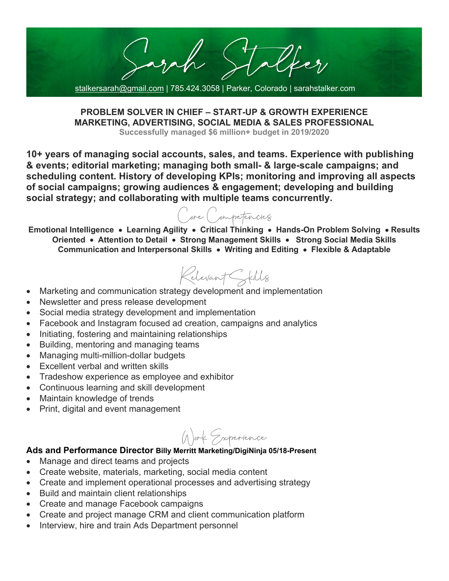Yezy stalkersarah@gmail.com | 785.424.3058 | Parker, Colorado | sarahstalker.com

**PROBLEM SOLVER IN CHIEF – START-UP & GROWTH EXPERIENCE MARKETING, ADVERTISING, SOCIAL MEDIA & SALES PROFESSIONAL**

**Successfully managed \$6 million+ budget in 2019/2020**

**10+ years of managing social accounts, sales, and teams. Experience with publishing & events; editorial marketing; managing both small- & large-scale campaigns; and scheduling content. History of developing KPIs; monitoring and improving all aspects of social campaigns; growing audiences & engagement; developing and building social strategy; and collaborating with multiple teams concurrently.**

Core Competencies

**Emotional Intelligence** • **Learning Agility** • **Critical Thinking** • **Hands-On Problem Solving** • **Results Oriented** • **Attention to Detail** • **Strong Management Skills** • **Strong Social Media Skills Communication and Interpersonal Skills** • **Writing and Editing** • **Flexible & Adaptable**

Relevant Skills

- Marketing and communication strategy development and implementation
- Newsletter and press release development
- Social media strategy development and implementation
- Facebook and Instagram focused ad creation, campaigns and analytics
- Initiating, fostering and maintaining relationships
- Building, mentoring and managing teams
- Managing multi-million-dollar budgets
- Excellent verbal and written skills
- Tradeshow experience as employee and exhibitor
- Continuous learning and skill development
- Maintain knowledge of trends
- Print, digital and event management

Work Experience

## **Ads and Performance Director Billy Merritt Marketing/DigiNinja 05/18-Present**

- Manage and direct teams and projects
- Create website, materials, marketing, social media content
- Create and implement operational processes and advertising strategy
- Build and maintain client relationships
- Create and manage Facebook campaigns
- Create and project manage CRM and client communication platform
- Interview, hire and train Ads Department personnel